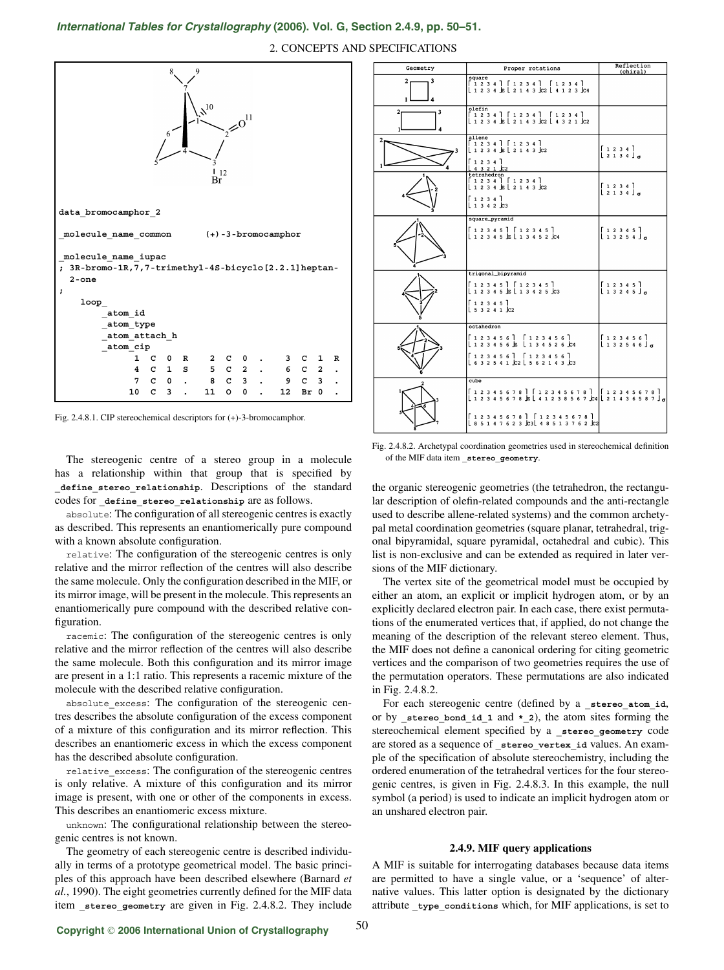## *[International Tables for Crystallography](http://it.iucr.org/Ga/ch2o4v0001/sec2o4o9/)* **(2006). Vol. G, Section 2.4.9, pp. 50–51.**

2. CONCEPTS AND SPECIFICATIONS



Fig. 2.4.8.1. CIP stereochemical descriptors for (+)-3-bromocamphor.

The stereogenic centre of a stereo group in a molecule has a relationship within that group that is specified by **\_define\_stereo\_relationship**. Descriptions of the standard codes for define stereo relationship are as follows.

absolute: The configuration of all stereogenic centres is exactly as described. This represents an enantiomerically pure compound with a known absolute configuration.

relative: The configuration of the stereogenic centres is only relative and the mirror reflection of the centres will also describe the same molecule. Only the configuration described in the MIF, or its mirror image, will be present in the molecule. This represents an enantiomerically pure compound with the described relative configuration.

racemic: The configuration of the stereogenic centres is only relative and the mirror reflection of the centres will also describe the same molecule. Both this configuration and its mirror image are present in a 1:1 ratio. This represents a racemic mixture of the molecule with the described relative configuration.

absolute excess: The configuration of the stereogenic centres describes the absolute configuration of the excess component of a mixture of this configuration and its mirror reflection. This describes an enantiomeric excess in which the excess component has the described absolute configuration.

relative\_excess: The configuration of the stereogenic centres is only relative. A mixture of this configuration and its mirror image is present, with one or other of the components in excess. This describes an enantiomeric excess mixture.

unknown: The configurational relationship between the stereogenic centres is not known.

The geometry of each stereogenic centre is described individually in terms of a prototype geometrical model. The basic principles of this approach have been described elsewhere (Barnard *et al.*, 1990). The eight geometries currently defined for the MIF data item stereo geometry are given in Fig. 2.4.8.2. They include

| Geometry | Proper rotations                                                                                                                            | Reflection<br>(chiral)                                                           |
|----------|---------------------------------------------------------------------------------------------------------------------------------------------|----------------------------------------------------------------------------------|
| 2<br>3   | square<br>[1234] [1234] [1234]<br>1234 E 1214 3 C 2 14 1 2 3 C 4                                                                            |                                                                                  |
| 3        | olefin<br>[1234] [1234] [1234]<br><u>[1234 E   2143 Jc2   4321 Jc2</u>                                                                      |                                                                                  |
| 2        | allene<br>[1234] [1234]<br>1234 k 12143 k 2<br>[1234]<br>$4$ 3 2 1 $\sqrt{2}$                                                               | $\begin{bmatrix} 1 & 2 & 3 & 4 \end{bmatrix}$<br>$2134a$                         |
|          | tetrahedron<br>$1234$ $1$ $1234$<br>$1234$ $k2143$ $c2$<br>[1234]                                                                           | 1234<br>$2134$                                                                   |
|          | square_pyramid<br>$12345$ ] $12345$ ]<br>12345 E 13452 C4                                                                                   | 12345<br>$\begin{array}{ccccccccccccccccc}\n1 & 3 & 2 & 5 & 4\n\end{array}$      |
|          | trigonal_bipyramid<br>$12345$ ] $12345$ ]<br>$12345$ E $13425$ $c3$<br>[12345]<br>153241 c2                                                 | 12345<br>$13245$                                                                 |
|          | octahedron<br>[123456] [123456]<br>123456 E 134526 k4<br>$123456$ $123456$<br>$632541$ $c2$ $1562143$ $c3$                                  | 123456<br>$\begin{array}{ccccccccccccccccc}\n1 & 3 & 2 & 5 & 4 & 6\n\end{array}$ |
|          | cube<br>[12345678][12345678]  [12345678]<br>12345678 E 1238567 C4 121436587 Jo<br>[12345678][12345678]<br>185147623 <b>J</b> c3148513762Jc2 |                                                                                  |

Fig. 2.4.8.2. Archetypal coordination geometries used in stereochemical definition of the MIF data item **\_stereo\_geometry**.

the organic stereogenic geometries (the tetrahedron, the rectangular description of olefin-related compounds and the anti-rectangle used to describe allene-related systems) and the common archetypal metal coordination geometries (square planar, tetrahedral, trigonal bipyramidal, square pyramidal, octahedral and cubic). This list is non-exclusive and can be extended as required in later versions of the MIF dictionary.

The vertex site of the geometrical model must be occupied by either an atom, an explicit or implicit hydrogen atom, or by an explicitly declared electron pair. In each case, there exist permutations of the enumerated vertices that, if applied, do not change the meaning of the description of the relevant stereo element. Thus, the MIF does not define a canonical ordering for citing geometric vertices and the comparison of two geometries requires the use of the permutation operators. These permutations are also indicated in Fig. 2.4.8.2.

For each stereogenic centre (defined by a stereo atom id, or by **\_stereo\_bond\_id\_1** and **\*\_2**), the atom sites forming the stereochemical element specified by a **\_stereo\_geometry** code are stored as a sequence of **\_stereo\_vertex\_id** values. An example of the specification of absolute stereochemistry, including the ordered enumeration of the tetrahedral vertices for the four stereogenic centres, is given in Fig. 2.4.8.3. In this example, the null symbol (a period) is used to indicate an implicit hydrogen atom or an unshared electron pair.

## **2.4.9. MIF query applications**

A MIF is suitable for interrogating databases because data items are permitted to have a single value, or a 'sequence' of alternative values. This latter option is designated by the dictionary attribute **type** conditions which, for MIF applications, is set to